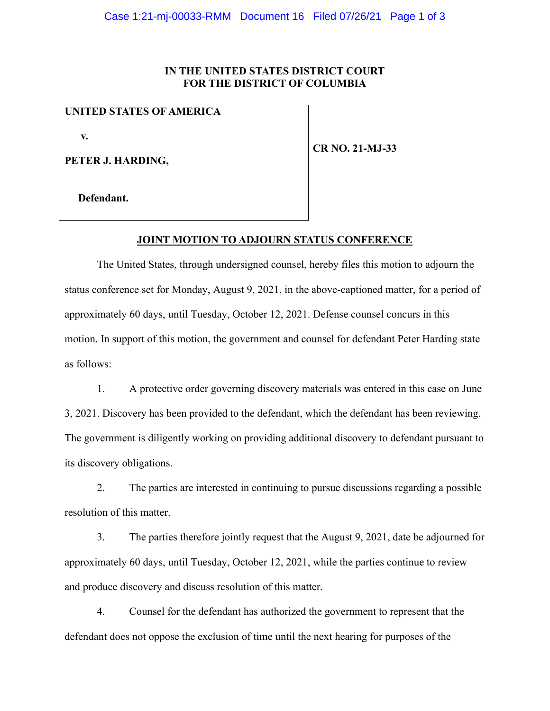### **IN THE UNITED STATES DISTRICT COURT FOR THE DISTRICT OF COLUMBIA**

### **UNITED STATES OF AMERICA**

 **v.**

**PETER J. HARDING,**

**CR NO. 21-MJ-33**

 **Defendant.**

#### **JOINT MOTION TO ADJOURN STATUS CONFERENCE**

The United States, through undersigned counsel, hereby files this motion to adjourn the status conference set for Monday, August 9, 2021, in the above-captioned matter, for a period of approximately 60 days, until Tuesday, October 12, 2021. Defense counsel concurs in this motion. In support of this motion, the government and counsel for defendant Peter Harding state as follows:

1. A protective order governing discovery materials was entered in this case on June 3, 2021. Discovery has been provided to the defendant, which the defendant has been reviewing. The government is diligently working on providing additional discovery to defendant pursuant to its discovery obligations.

2. The parties are interested in continuing to pursue discussions regarding a possible resolution of this matter.

3. The parties therefore jointly request that the August 9, 2021, date be adjourned for approximately 60 days, until Tuesday, October 12, 2021, while the parties continue to review and produce discovery and discuss resolution of this matter.

4. Counsel for the defendant has authorized the government to represent that the defendant does not oppose the exclusion of time until the next hearing for purposes of the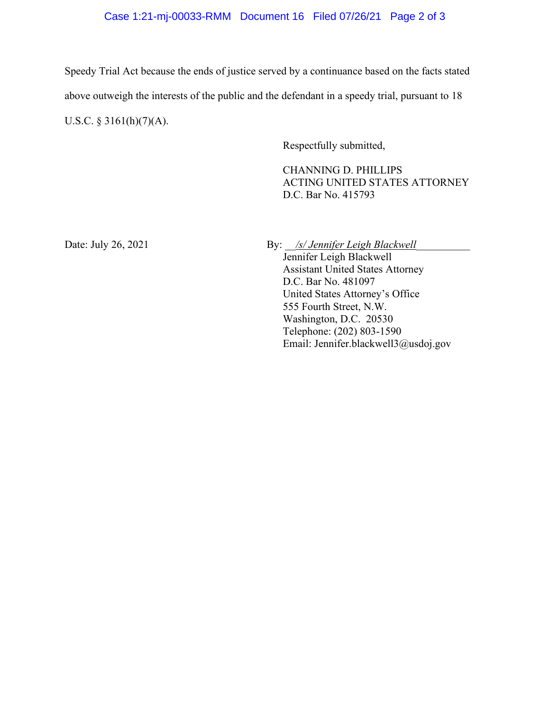# Case 1:21-mj-00033-RMM Document 16 Filed 07/26/21 Page 2 of 3

Speedy Trial Act because the ends of justice served by a continuance based on the facts stated above outweigh the interests of the public and the defendant in a speedy trial, pursuant to 18 U.S.C. § 3161(h)(7)(A).

Respectfully submitted,

CHANNING D. PHILLIPS ACTING UNITED STATES ATTORNEY D.C. Bar No. 415793

Date: July 26, 2021 By: *\_\_<u>/s/ Jennifer Leigh Blackwell</u>\_* 

Jennifer Leigh Blackwell Assistant United States Attorney D.C. Bar No. 481097 United States Attorney's Office 555 Fourth Street, N.W. Washington, D.C. 20530 Telephone: (202) 803-1590 Email: Jennifer.blackwell3@usdoj.gov